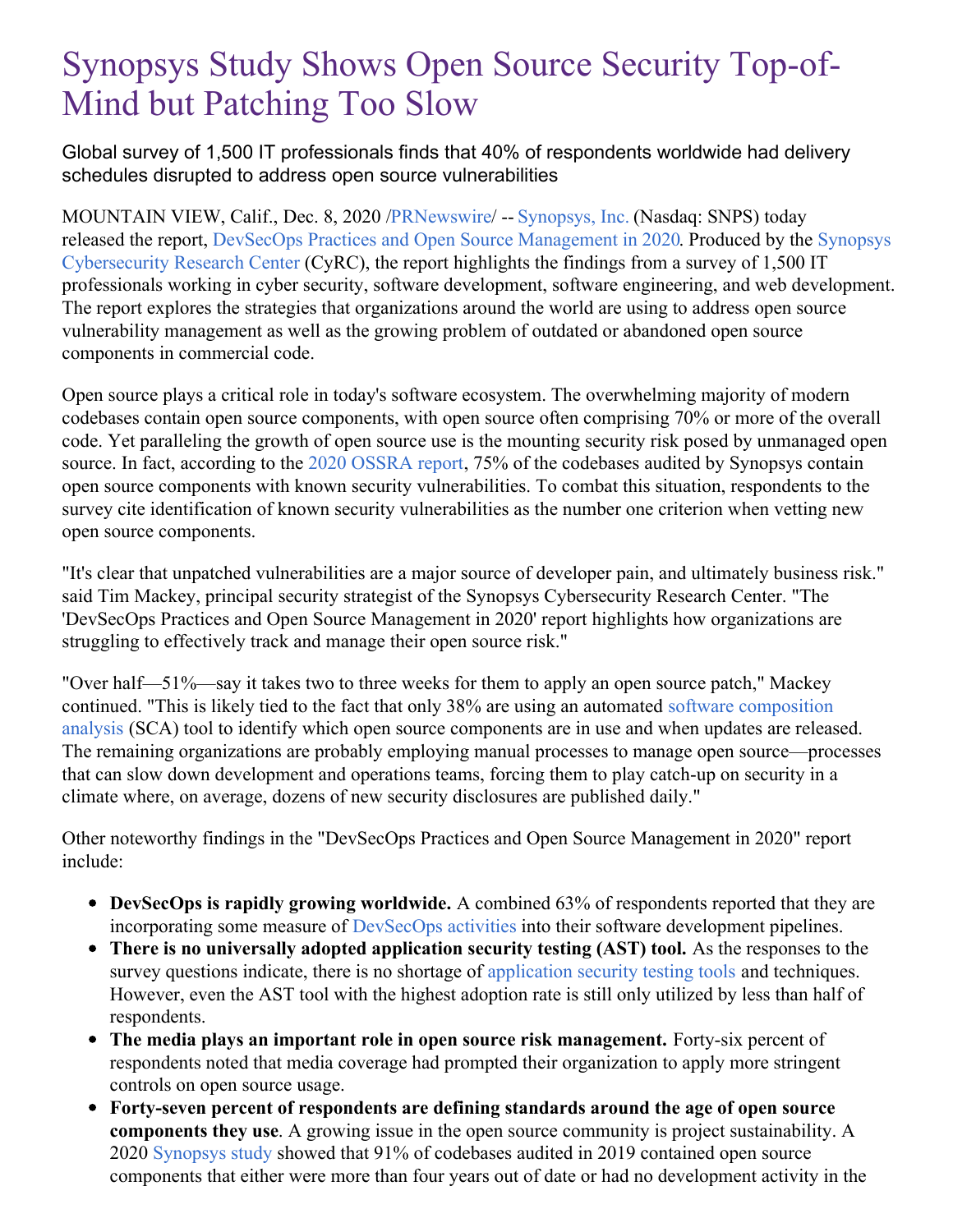## Synopsys Study Shows Open Source Security Top-of-Mind but Patching Too Slow

Global survey of 1,500 IT professionals finds that 40% of respondents worldwide had delivery schedules disrupted to address open source vulnerabilities

MOUNTAIN VIEW, Calif., Dec. 8, 2020 [/PRNewswire](http://www.prnewswire.com/)/ -- [Synopsys,](https://c212.net/c/link/?t=0&l=en&o=3005043-1&h=3577098958&u=https%3A%2F%2Fwww.synopsys.com%2F&a=Synopsys%2C+Inc.) Inc. (Nasdaq: SNPS) today released the report, DevSecOps Practices and Open Source [Management](https://c212.net/c/link/?t=0&l=en&o=3005043-1&h=2348266629&u=https%3A%2F%2Fwww.synopsys.com%2Fsoftware-integrity%2Fresources%2Fanalyst-reports%2Fdevsecops-practices-open-source-management.html%3Fcmp%3Dpr-sig%26utm_medium%3Dreferral&a=DevSecOps+Practices+and+Open+Source+Management+in+2020) in 2020. Produced by the Synopsys [Cybersecurity](https://c212.net/c/link/?t=0&l=en&o=3005043-1&h=1068578257&u=https%3A%2F%2Fwww.synopsys.com%2Fsoftware-integrity%2Fcybersecurity-research-center.html%3Fcmp%3Dpr-sig%26utm_medium%3Dreferral&a=Synopsys+Cybersecurity+Research+Center%C2%A0) Research Center (CyRC), the report highlights the findings from a survey of 1,500 IT professionals working in cyber security, software development, software engineering, and web development. The report explores the strategies that organizations around the world are using to address open source vulnerability management as well as the growing problem of outdated or abandoned open source components in commercial code.

Open source plays a critical role in today's software ecosystem. The overwhelming majority of modern codebases contain open source components, with open source often comprising 70% or more of the overall code. Yet paralleling the growth of open source use is the mounting security risk posed by unmanaged open source. In fact, according to the 2020 [OSSRA](https://c212.net/c/link/?t=0&l=en&o=3005043-1&h=1307239994&u=https%3A%2F%2Fwww.synopsys.com%2Fsoftware-integrity%2Fresources%2Fanalyst-reports%2F2020-open-source-security-risk-analysis.html%3Fcmp%3Dpr-sig%26utm_medium%3Dreferral&a=2020+OSSRA+report) report, 75% of the codebases audited by Synopsys contain open source components with known security vulnerabilities. To combat this situation, respondents to the survey cite identification of known security vulnerabilities as the number one criterion when vetting new open source components.

"It's clear that unpatched vulnerabilities are a major source of developer pain, and ultimately business risk." said Tim Mackey, principal security strategist of the Synopsys Cybersecurity Research Center. "The 'DevSecOps Practices and Open Source Management in 2020' report highlights how organizations are struggling to effectively track and manage their open source risk."

"Over half—51%—say it takes two to three weeks for them to apply an open source patch," Mackey continued. "This is likely tied to the fact that only 38% are using an automated software [composition](https://www.synopsys.com/software-integrity/security-testing/software-composition-analysis.html) analysis (SCA) tool to identify which open source components are in use and when updates are released. The remaining organizations are probably employing manual processes to manage open source—processes that can slow down development and operations teams, forcing them to play catch-up on security in a climate where, on average, dozens of new security disclosures are published daily."

Other noteworthy findings in the "DevSecOps Practices and Open Source Management in 2020" report include:

- **DevSecOps is rapidly growing worldwide.** A combined 63% of respondents reported that they are incorporating some measure of [DevSecOps](https://www.synopsys.com/blogs/software-security/devsecops-pipeline-checklist/) activities into their software development pipelines.
- **There is no universally adopted application security testing (AST) tool.** As the responses to the survey questions indicate, there is no shortage of [application](https://www.synopsys.com/software-integrity/security-testing.html) security testing tools and techniques. However, even the AST tool with the highest adoption rate is still only utilized by less than half of respondents.
- **The media plays an important role in open source risk management.** Forty-six percent of respondents noted that media coverage had prompted their organization to apply more stringent controls on open source usage.
- **Forty-seven percent of respondents are defining standards around the age of open source components they use**. A growing issue in the open source community is project sustainability. A 2020 [Synopsys](https://c212.net/c/link/?t=0&l=en&o=3005043-1&h=3389941447&u=https%3A%2F%2Fwww.synopsys.com%2Fsoftware-integrity%2Fresources%2Fanalyst-reports%2F2020-open-source-security-risk-analysis.html%3Fcmp%3Dpr-sig%26utm_medium%3Dreferral&a=Synopsys+study) study showed that 91% of codebases audited in 2019 contained open source components that either were more than four years out of date or had no development activity in the